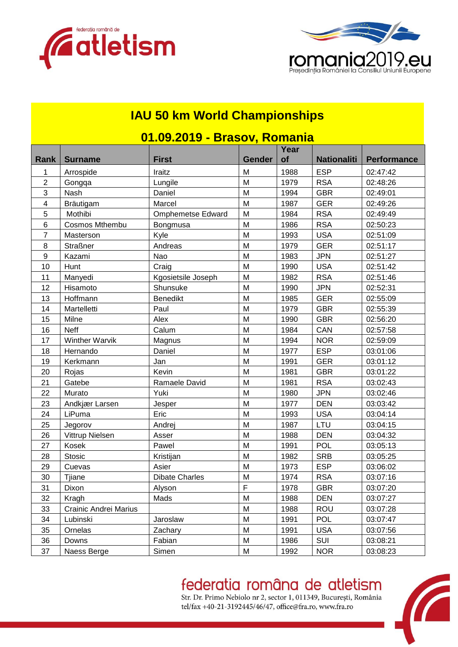



#### **IAU 50 km World Championships**

| <u> UT.UY.ZUTY - Brasov, Romania</u> |                       |                          |               |            |                    |                    |  |  |
|--------------------------------------|-----------------------|--------------------------|---------------|------------|--------------------|--------------------|--|--|
| Rank                                 | <b>Surname</b>        | <b>First</b>             | <b>Gender</b> | Year<br>of | <b>Nationaliti</b> | <b>Performance</b> |  |  |
| 1                                    | Arrospide             | Iraitz                   | M             | 1988       | <b>ESP</b>         | 02:47:42           |  |  |
| $\overline{2}$                       | Gongqa                | Lungile                  | M             | 1979       | <b>RSA</b>         | 02:48:26           |  |  |
| $\ensuremath{\mathsf{3}}$            | Nash                  | Daniel                   | M             | 1994       | <b>GBR</b>         | 02:49:01           |  |  |
| 4                                    | Bräutigam             | Marcel                   | M             | 1987       | <b>GER</b>         | 02:49:26           |  |  |
| 5                                    | Mothibi               | <b>Omphemetse Edward</b> | M             | 1984       | <b>RSA</b>         | 02:49:49           |  |  |
| 6                                    | Cosmos Mthembu        | Bongmusa                 | M             | 1986       | <b>RSA</b>         | 02:50:23           |  |  |
| $\overline{7}$                       | Masterson             | Kyle                     | M             | 1993       | <b>USA</b>         | 02:51:09           |  |  |
| 8                                    | <b>Straßner</b>       | Andreas                  | M             | 1979       | <b>GER</b>         | 02:51:17           |  |  |
| 9                                    | Kazami                | Nao                      | M             | 1983       | <b>JPN</b>         | 02:51:27           |  |  |
| 10                                   | Hunt                  | Craig                    | M             | 1990       | <b>USA</b>         | 02:51:42           |  |  |
| 11                                   | Manyedi               | Kgosietsile Joseph       | M             | 1982       | <b>RSA</b>         | 02:51:46           |  |  |
| 12                                   | Hisamoto              | Shunsuke                 | M             | 1990       | <b>JPN</b>         | 02:52:31           |  |  |
| 13                                   | Hoffmann              | <b>Benedikt</b>          | M             | 1985       | <b>GER</b>         | 02:55:09           |  |  |
| 14                                   | Martelletti           | Paul                     | M             | 1979       | <b>GBR</b>         | 02:55:39           |  |  |
| 15                                   | Milne                 | Alex                     | M             | 1990       | <b>GBR</b>         | 02:56:20           |  |  |
| 16                                   | <b>Neff</b>           | Calum                    | M             | 1984       | CAN                | 02:57:58           |  |  |
| 17                                   | <b>Winther Warvik</b> | Magnus                   | M             | 1994       | <b>NOR</b>         | 02:59:09           |  |  |
| 18                                   | Hernando              | Daniel                   | M             | 1977       | <b>ESP</b>         | 03:01:06           |  |  |
| 19                                   | Kerkmann              | Jan                      | M             | 1991       | <b>GER</b>         | 03:01:12           |  |  |
| 20                                   | Rojas                 | Kevin                    | M             | 1981       | <b>GBR</b>         | 03:01:22           |  |  |
| 21                                   | Gatebe                | Ramaele David            | M             | 1981       | <b>RSA</b>         | 03:02:43           |  |  |
| 22                                   | Murato                | Yuki                     | M             | 1980       | <b>JPN</b>         | 03:02:46           |  |  |
| 23                                   | Andkjær Larsen        | Jesper                   | M             | 1977       | <b>DEN</b>         | 03:03:42           |  |  |
| 24                                   | LiPuma                | Eric                     | M             | 1993       | <b>USA</b>         | 03:04:14           |  |  |
| 25                                   | Jegorov               | Andrej                   | M             | 1987       | LTU                | 03:04:15           |  |  |
| 26                                   | Vittrup Nielsen       | Asser                    | M             | 1988       | <b>DEN</b>         | 03:04:32           |  |  |
| 27                                   | Kosek                 | Pawel                    | M             | 1991       | <b>POL</b>         | 03:05:13           |  |  |
| 28                                   | Stosic                | Kristijan                | M             | 1982       | <b>SRB</b>         | 03:05:25           |  |  |
| 29                                   | Cuevas                | Asier                    | M             | 1973       | <b>ESP</b>         | 03:06:02           |  |  |
| 30                                   | Tjiane                | <b>Dibate Charles</b>    | M             | 1974       | <b>RSA</b>         | 03:07:16           |  |  |
| 31                                   | Dixon                 | Alyson                   | $\mathsf F$   | 1978       | <b>GBR</b>         | 03:07:20           |  |  |
| 32                                   | Kragh                 | Mads                     | M             | 1988       | <b>DEN</b>         | 03:07:27           |  |  |
| 33                                   | Crainic Andrei Marius |                          | M             | 1988       | <b>ROU</b>         | 03:07:28           |  |  |
| 34                                   | Lubinski              | Jaroslaw                 | M             | 1991       | POL                | 03:07:47           |  |  |
| 35                                   | Ornelas               | Zachary                  | M             | 1991       | <b>USA</b>         | 03:07:56           |  |  |
| 36                                   | Downs                 | Fabian                   | M             | 1986       | SUI                | 03:08:21           |  |  |
| 37                                   | Naess Berge           | Simen                    | M             | 1992       | <b>NOR</b>         | 03:08:23           |  |  |

#### **01.09.2019 - Brasov, Romania**

#### federatia româna de atletism

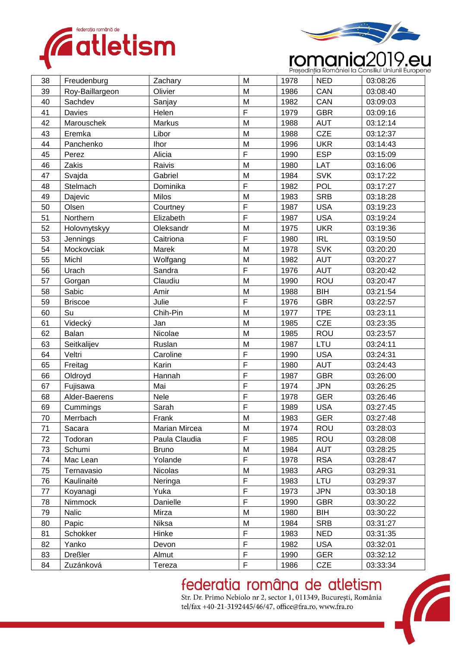



# **romaniei la Consiliul Uniunii Europene**

| 38 | Freudenburg     | Zachary       | M            | 1978 | <b>NED</b> | 03:08:26 |
|----|-----------------|---------------|--------------|------|------------|----------|
| 39 | Roy-Baillargeon | Olivier       | M            | 1986 | CAN        | 03:08:40 |
| 40 | Sachdev         | Sanjay        | M            | 1982 | CAN        | 03:09:03 |
| 41 | Davies          | Helen         | F            | 1979 | <b>GBR</b> | 03:09:16 |
| 42 | Marouschek      | Markus        | M            | 1988 | <b>AUT</b> | 03:12:14 |
| 43 | Eremka          | Libor         | M            | 1988 | <b>CZE</b> | 03:12:37 |
| 44 | Panchenko       | Ihor          | M            | 1996 | <b>UKR</b> | 03:14:43 |
| 45 | Perez           | Alicia        | F            | 1990 | <b>ESP</b> | 03:15:09 |
| 46 | Zakis           | Raivis        | M            | 1980 | LAT        | 03:16:06 |
| 47 | Svajda          | Gabriel       | M            | 1984 | <b>SVK</b> | 03:17:22 |
| 48 | Stelmach        | Dominika      | F            | 1982 | POL        | 03:17:27 |
| 49 | Dajevic         | Milos         | M            | 1983 | <b>SRB</b> | 03:18:28 |
| 50 | Olsen           | Courtney      | F            | 1987 | <b>USA</b> | 03:19:23 |
| 51 | Northern        | Elizabeth     | F            | 1987 | <b>USA</b> | 03:19:24 |
| 52 | Holovnytskyy    | Oleksandr     | M            | 1975 | <b>UKR</b> | 03:19:36 |
| 53 | Jennings        | Caitriona     | F            | 1980 | <b>IRL</b> | 03:19:50 |
| 54 | Mockovciak      | Marek         | M            | 1978 | <b>SVK</b> | 03:20:20 |
| 55 | Michl           | Wolfgang      | M            | 1982 | <b>AUT</b> | 03:20:27 |
| 56 | Urach           | Sandra        | F            | 1976 | <b>AUT</b> | 03:20:42 |
| 57 | Gorgan          | Claudiu       | M            | 1990 | <b>ROU</b> | 03:20:47 |
| 58 | Sabic           | Amir          | M            | 1988 | <b>BIH</b> | 03:21:54 |
| 59 | <b>Briscoe</b>  | Julie         | F            | 1976 | <b>GBR</b> | 03:22:57 |
| 60 | Su              | Chih-Pin      | M            | 1977 | <b>TPE</b> | 03:23:11 |
| 61 | Videcký         | Jan           | M            | 1985 | <b>CZE</b> | 03:23:35 |
| 62 | Balan           | Nicolae       | M            | 1985 | <b>ROU</b> | 03:23:57 |
| 63 | Seitkalijev     | Ruslan        | M            | 1987 | LTU        | 03:24:11 |
| 64 | Veltri          | Caroline      | F            | 1990 | <b>USA</b> | 03:24:31 |
| 65 | Freitag         | Karin         | $\mathsf{F}$ | 1980 | <b>AUT</b> | 03:24:43 |
| 66 | Oldroyd         | Hannah        | F            | 1987 | <b>GBR</b> | 03:26:00 |
| 67 | Fujisawa        | Mai           | $\mathsf{F}$ | 1974 | <b>JPN</b> | 03:26:25 |
| 68 | Alder-Baerens   | Nele          | F            | 1978 | <b>GER</b> | 03:26:46 |
| 69 | Cummings        | Sarah         | F            | 1989 | <b>USA</b> | 03:27:45 |
| 70 | Merrbach        | Frank         | M            | 1983 | <b>GER</b> | 03:27:48 |
| 71 | Sacara          | Marian Mircea | M            | 1974 | ROU        | 03:28:03 |
| 72 | Todoran         | Paula Claudia | $\mathsf F$  | 1985 | <b>ROU</b> | 03:28:08 |
| 73 | Schumi          | <b>Bruno</b>  | M            | 1984 | <b>AUT</b> | 03:28:25 |
| 74 | Mac Lean        | Yolande       | F            | 1978 | <b>RSA</b> | 03:28:47 |
| 75 | Ternavasio      | Nicolas       | M            | 1983 | ARG        | 03:29:31 |
| 76 | Kaulinaitė      | Neringa       | F            | 1983 | LTU        | 03:29:37 |
| 77 | Koyanagi        | Yuka          | $\mathsf{F}$ | 1973 | <b>JPN</b> | 03:30:18 |
| 78 | Nimmock         | Danielle      | $\mathsf F$  | 1990 | <b>GBR</b> | 03:30:22 |
| 79 | Nalic           | Mirza         | M            | 1980 | BIH        | 03:30:22 |
| 80 | Papic           | Niksa         | M            | 1984 | <b>SRB</b> | 03:31:27 |
| 81 | Schokker        | Hinke         | $\mathsf F$  | 1983 | <b>NED</b> | 03:31:35 |
| 82 | Yanko           | Devon         | $\mathsf F$  | 1982 | <b>USA</b> | 03:32:01 |
| 83 | <b>Dreßler</b>  | Almut         | $\mathsf F$  | 1990 | <b>GER</b> | 03:32:12 |
| 84 | Zuzánková       | Tereza        | F            | 1986 | <b>CZE</b> | 03:33:34 |

### federatia româna de atletism

Str. Dr. Primo Nebiolo nr 2, sector 1, 011349, București, România tel/fax +40-21-3192445/46/47, office@fra.ro, www.fra.ro

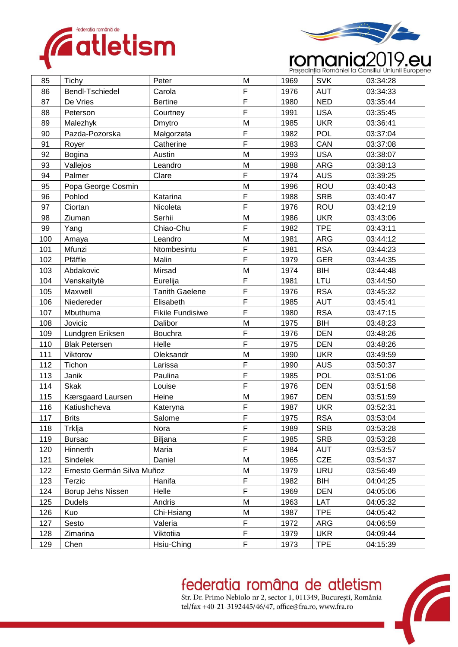



# **romaniei la Consiliul Uniunii Europene**

| 85  | Tichy                      | Peter                   | M              | 1969 | <b>SVK</b> | 03:34:28 |
|-----|----------------------------|-------------------------|----------------|------|------------|----------|
| 86  | Bendl-Tschiedel            | Carola                  | $\mathsf F$    | 1976 | <b>AUT</b> | 03:34:33 |
| 87  | De Vries                   | <b>Bertine</b>          | $\mathsf{F}$   | 1980 | <b>NED</b> | 03:35:44 |
| 88  | Peterson                   | Courtney                | $\mathsf{F}$   | 1991 | <b>USA</b> | 03:35:45 |
| 89  | Malezhyk                   | Dmytro                  | M              | 1985 | <b>UKR</b> | 03:36:41 |
| 90  | Pazda-Pozorska             | Małgorzata              | $\overline{F}$ | 1982 | <b>POL</b> | 03:37:04 |
| 91  | Royer                      | Catherine               | $\overline{F}$ | 1983 | CAN        | 03:37:08 |
| 92  | <b>Bogina</b>              | Austin                  | M              | 1993 | <b>USA</b> | 03:38:07 |
| 93  | Vallejos                   | Leandro                 | M              | 1988 | <b>ARG</b> | 03:38:13 |
| 94  | Palmer                     | Clare                   | F              | 1974 | <b>AUS</b> | 03:39:25 |
| 95  | Popa George Cosmin         |                         | M              | 1996 | <b>ROU</b> | 03:40:43 |
| 96  | Pohlod                     | Katarina                | F              | 1988 | <b>SRB</b> | 03:40:47 |
| 97  | Ciortan                    | Nicoleta                | $\overline{F}$ | 1976 | <b>ROU</b> | 03:42:19 |
| 98  | Ziuman                     | Serhii                  | M              | 1986 | <b>UKR</b> | 03:43:06 |
| 99  | Yang                       | Chiao-Chu               | $\mathsf F$    | 1982 | <b>TPE</b> | 03:43:11 |
| 100 | Amaya                      | Leandro                 | M              | 1981 | ARG        | 03:44:12 |
| 101 | Mfunzi                     | Ntombesintu             | $\mathsf F$    | 1981 | <b>RSA</b> | 03:44:23 |
| 102 | Pfäffle                    | Malin                   | $\mathsf{F}$   | 1979 | <b>GER</b> | 03:44:35 |
| 103 | Abdakovic                  | Mirsad                  | M              | 1974 | BIH        | 03:44:48 |
| 104 | Venskaitytė                | Eurelija                | $\overline{F}$ | 1981 | LTU        | 03:44:50 |
| 105 | Maxwell                    | <b>Tanith Gaelene</b>   | $\mathsf{F}$   | 1976 | <b>RSA</b> | 03:45:32 |
| 106 | Niedereder                 | Elisabeth               | $\mathsf{F}$   | 1985 | <b>AUT</b> | 03:45:41 |
| 107 | Mbuthuma                   | <b>Fikile Fundisiwe</b> | $\mathsf F$    | 1980 | <b>RSA</b> | 03:47:15 |
| 108 | Jovicic                    | Dalibor                 | M              | 1975 | <b>BIH</b> | 03:48:23 |
| 109 | Lundgren Eriksen           | <b>Bouchra</b>          | $\mathsf{F}$   | 1976 | <b>DEN</b> | 03:48:26 |
| 110 | <b>Blak Petersen</b>       | Helle                   | $\mathsf{F}$   | 1975 | <b>DEN</b> | 03:48:26 |
| 111 | Viktorov                   | Oleksandr               | M              | 1990 | <b>UKR</b> | 03:49:59 |
| 112 | Tichon                     | Larissa                 | $\mathsf F$    | 1990 | <b>AUS</b> | 03:50:37 |
| 113 | Janik                      | Paulina                 | $\mathsf{F}$   | 1985 | <b>POL</b> | 03:51:06 |
| 114 | <b>Skak</b>                | Louise                  | $\mathsf F$    | 1976 | <b>DEN</b> | 03:51:58 |
| 115 | Kærsgaard Laursen          | Heine                   | M              | 1967 | <b>DEN</b> | 03:51:59 |
| 116 | Katiushcheva               | Kateryna                | F              | 1987 | <b>UKR</b> | 03:52:31 |
| 117 | <b>Brits</b>               | Salome                  | F              | 1975 | <b>RSA</b> | 03:53:04 |
| 118 | Trklja                     | Nora                    | $\mathsf F$    | 1989 | <b>SRB</b> | 03:53:28 |
| 119 | <b>Bursac</b>              | Biljana                 | $\mathsf F$    | 1985 | <b>SRB</b> | 03:53:28 |
| 120 | Hinnerth                   | Maria                   | $\mathsf F$    | 1984 | <b>AUT</b> | 03:53:57 |
| 121 | Sindelek                   | Daniel                  | M              | 1965 | CZE        | 03:54:37 |
| 122 | Ernesto Germán Silva Muñoz |                         | M              | 1979 | <b>URU</b> | 03:56:49 |
| 123 | Terzic                     | Hanifa                  | $\mathsf F$    | 1982 | BIH        | 04:04:25 |
| 124 | Borup Jehs Nissen          | Helle                   | $\mathsf F$    | 1969 | <b>DEN</b> | 04:05:06 |
| 125 | <b>Dudels</b>              | Andris                  | M              | 1963 | LAT        | 04:05:32 |
| 126 | Kuo                        | Chi-Hsiang              | M              | 1987 | <b>TPE</b> | 04:05:42 |
| 127 | Sesto                      | Valeria                 | $\mathsf F$    | 1972 | ARG        | 04:06:59 |
| 128 | Zimarina                   | Viktotiia               | $\mathsf F$    | 1979 | <b>UKR</b> | 04:09:44 |
| 129 | Chen                       | Hsiu-China              | F              | 1973 | <b>TPE</b> | 04:15:39 |

### federatia româna de atletism